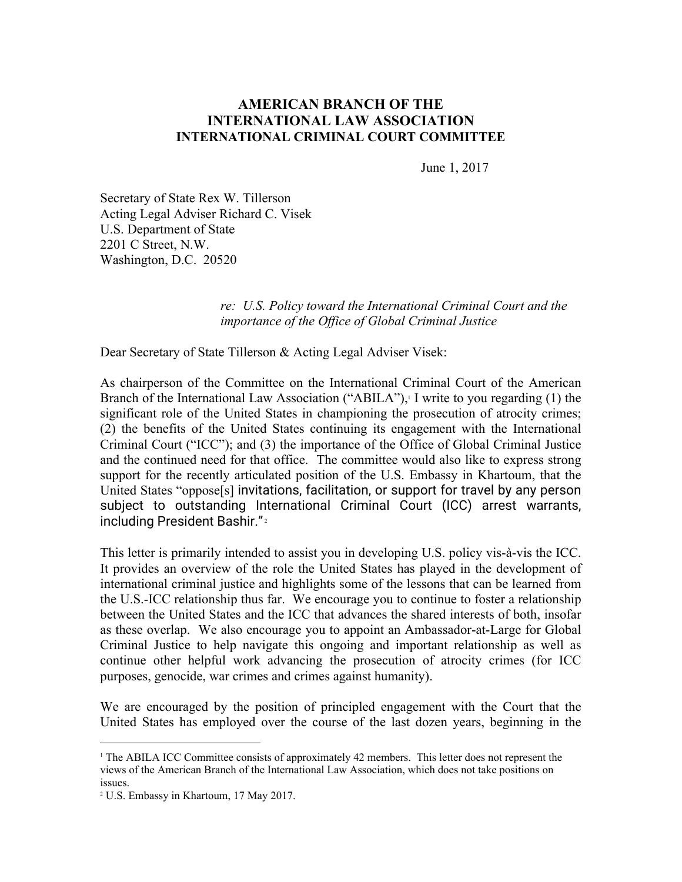# **AMERICAN BRANCH OF THE INTERNATIONAL LAW ASSOCIATION INTERNATIONAL CRIMINAL COURT COMMITTEE**

June 1, 2017

Secretary of State Rex W. Tillerson Acting Legal Adviser Richard C. Visek U.S. Department of State 2201 C Street, N.W. Washington, D.C. 20520

#### *re: U.S. Policy toward the International Criminal Court and the importance of the Office of Global Criminal Justice*

Dear Secretary of State Tillerson & Acting Legal Adviser Visek:

As chairperson of the Committee on the International Criminal Court of the American Branch of the International Law Association ("ABILA"), $\perp$ I write to you regarding (1) the significant role of the United States in championing the prosecution of atrocity crimes; (2) the benefits of the United States continuing its engagement with the International Criminal Court ("ICC"); and (3) the importance of the Office of Global Criminal Justice and the continued need for that office. The committee would also like to express strong support for the recently articulated position of the U.S. Embassy in Khartoum, that the United States "oppose[s] invitations, facilitation, or support for travel by any person subject to outstanding International Criminal Court (ICC) arrest warrants, including President Bashir."<sup>2</sup>

This letter is primarily intended to assist you in developing U.S. policy vis-à-vis the ICC. It provides an overview of the role the United States has played in the development of international criminal justice and highlights some of the lessons that can be learned from the U.S.-ICC relationship thus far. We encourage you to continue to foster a relationship between the United States and the ICC that advances the shared interests of both, insofar as these overlap. We also encourage you to appoint an Ambassador-at-Large for Global Criminal Justice to help navigate this ongoing and important relationship as well as continue other helpful work advancing the prosecution of atrocity crimes (for ICC purposes, genocide, war crimes and crimes against humanity).

We are encouraged by the position of principled engagement with the Court that the United States has employed over the course of the last dozen years, beginning in the

<sup>1</sup> The ABILA ICC Committee consists of approximately 42 members. This letter does not represent the views of the American Branch of the International Law Association, which does not take positions on issues.

<sup>2</sup> U.S. Embassy in Khartoum, 17 May 2017.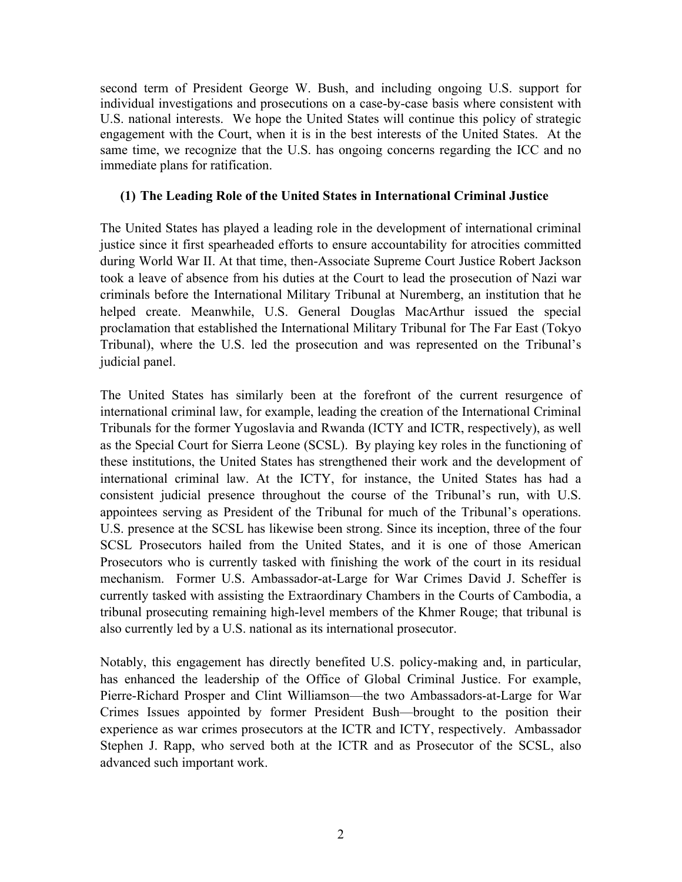second term of President George W. Bush, and including ongoing U.S. support for individual investigations and prosecutions on a case-by-case basis where consistent with U.S. national interests. We hope the United States will continue this policy of strategic engagement with the Court, when it is in the best interests of the United States. At the same time, we recognize that the U.S. has ongoing concerns regarding the ICC and no immediate plans for ratification.

# **(1) The Leading Role of the United States in International Criminal Justice**

The United States has played a leading role in the development of international criminal justice since it first spearheaded efforts to ensure accountability for atrocities committed during World War II. At that time, then-Associate Supreme Court Justice Robert Jackson took a leave of absence from his duties at the Court to lead the prosecution of Nazi war criminals before the International Military Tribunal at Nuremberg, an institution that he helped create. Meanwhile, U.S. General Douglas MacArthur issued the special proclamation that established the International Military Tribunal for The Far East (Tokyo Tribunal), where the U.S. led the prosecution and was represented on the Tribunal's judicial panel.

The United States has similarly been at the forefront of the current resurgence of international criminal law, for example, leading the creation of the International Criminal Tribunals for the former Yugoslavia and Rwanda (ICTY and ICTR, respectively), as well as the Special Court for Sierra Leone (SCSL). By playing key roles in the functioning of these institutions, the United States has strengthened their work and the development of international criminal law. At the ICTY, for instance, the United States has had a consistent judicial presence throughout the course of the Tribunal's run, with U.S. appointees serving as President of the Tribunal for much of the Tribunal's operations. U.S. presence at the SCSL has likewise been strong. Since its inception, three of the four SCSL Prosecutors hailed from the United States, and it is one of those American Prosecutors who is currently tasked with finishing the work of the court in its residual mechanism. Former U.S. Ambassador-at-Large for War Crimes David J. Scheffer is currently tasked with assisting the Extraordinary Chambers in the Courts of Cambodia, a tribunal prosecuting remaining high-level members of the Khmer Rouge; that tribunal is also currently led by a U.S. national as its international prosecutor.

Notably, this engagement has directly benefited U.S. policy-making and, in particular, has enhanced the leadership of the Office of Global Criminal Justice. For example, Pierre-Richard Prosper and Clint Williamson—the two Ambassadors-at-Large for War Crimes Issues appointed by former President Bush—brought to the position their experience as war crimes prosecutors at the ICTR and ICTY, respectively. Ambassador Stephen J. Rapp, who served both at the ICTR and as Prosecutor of the SCSL, also advanced such important work.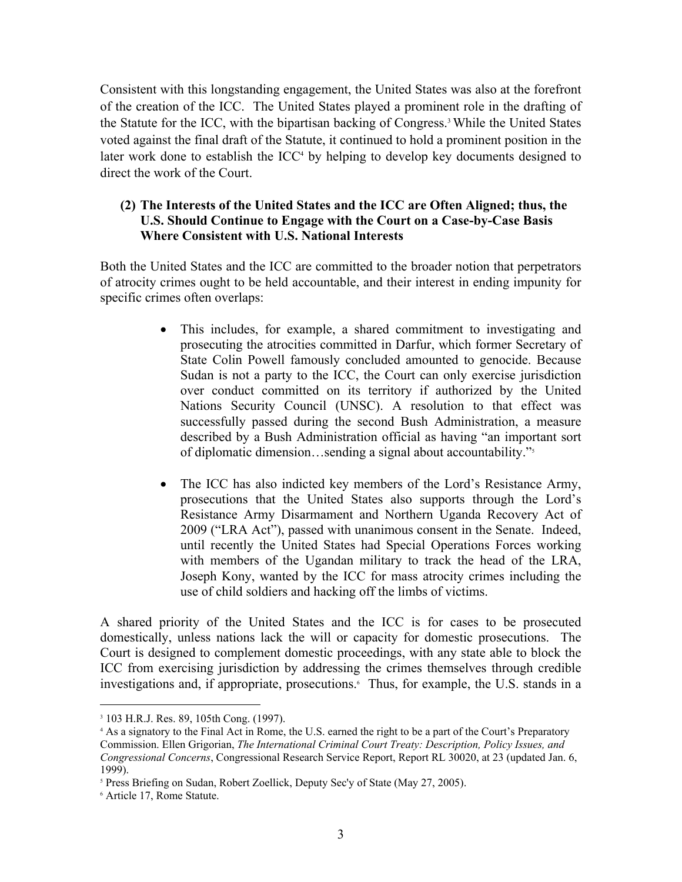Consistent with this longstanding engagement, the United States was also at the forefront of the creation of the ICC. The United States played a prominent role in the drafting of the Statute for the ICC, with the bipartisan backing of Congress.<sup>3</sup> While the United States voted against the final draft of the Statute, it continued to hold a prominent position in the later work done to establish the  $ICC<sup>4</sup>$  by helping to develop key documents designed to direct the work of the Court.

# **(2) The Interests of the United States and the ICC are Often Aligned; thus, the U.S. Should Continue to Engage with the Court on a Case-by-Case Basis Where Consistent with U.S. National Interests**

Both the United States and the ICC are committed to the broader notion that perpetrators of atrocity crimes ought to be held accountable, and their interest in ending impunity for specific crimes often overlaps:

- This includes, for example, a shared commitment to investigating and prosecuting the atrocities committed in Darfur, which former Secretary of State Colin Powell famously concluded amounted to genocide. Because Sudan is not a party to the ICC, the Court can only exercise jurisdiction over conduct committed on its territory if authorized by the United Nations Security Council (UNSC). A resolution to that effect was successfully passed during the second Bush Administration, a measure described by a Bush Administration official as having "an important sort of diplomatic dimension…sending a signal about accountability."5
- The ICC has also indicted key members of the Lord's Resistance Army, prosecutions that the United States also supports through the Lord's Resistance Army Disarmament and Northern Uganda Recovery Act of 2009 ("LRA Act"), passed with unanimous consent in the Senate. Indeed, until recently the United States had Special Operations Forces working with members of the Ugandan military to track the head of the LRA, Joseph Kony, wanted by the ICC for mass atrocity crimes including the use of child soldiers and hacking off the limbs of victims.

A shared priority of the United States and the ICC is for cases to be prosecuted domestically, unless nations lack the will or capacity for domestic prosecutions. The Court is designed to complement domestic proceedings, with any state able to block the ICC from exercising jurisdiction by addressing the crimes themselves through credible investigations and, if appropriate, prosecutions.<sup>6</sup> Thus, for example, the U.S. stands in a

<sup>3</sup> 103 H.R.J. Res. 89, 105th Cong. (1997).

<sup>4</sup> As a signatory to the Final Act in Rome, the U.S. earned the right to be a part of the Court's Preparatory Commission. Ellen Grigorian, *The International Criminal Court Treaty: Description, Policy Issues, and Congressional Concerns*, Congressional Research Service Report, Report RL 30020, at 23 (updated Jan. 6, 1999).

<sup>5</sup> Press Briefing on Sudan, Robert Zoellick, Deputy Sec'y of State (May 27, 2005).

<sup>6</sup> Article 17, Rome Statute.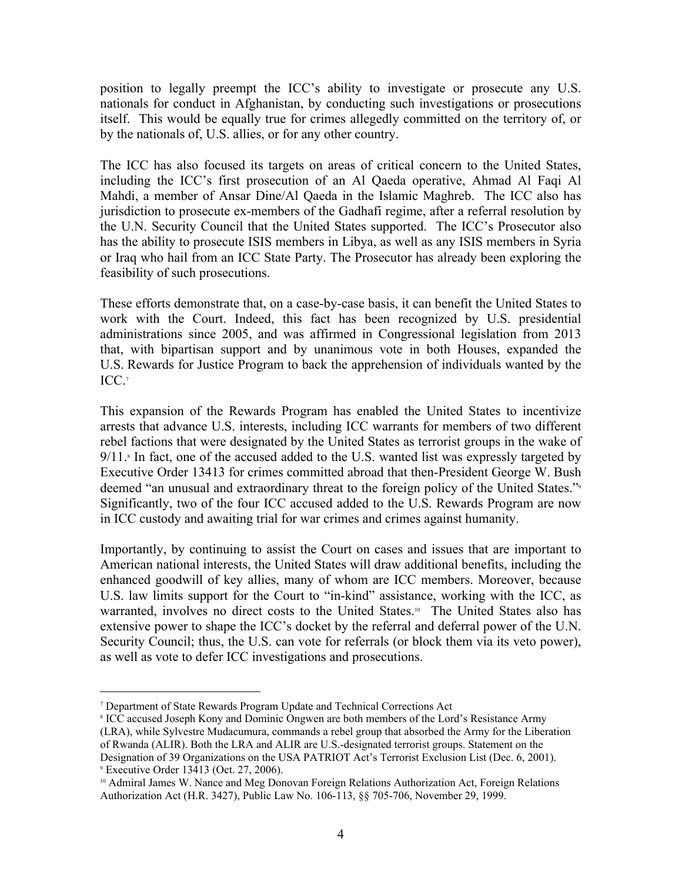position to legally preempt the ICC's ability to investigate or prosecute any U.S. nationals for conduct in Afghanistan, by conducting such investigations or prosecutions itself. This would be equally true for crimes allegedly committed on the territory of, or by the nationals of, U.S. allies, or for any other country.

The ICC has also focused its targets on areas of critical concern to the United States, including the ICC's first prosecution of an Al Qaeda operative, Ahmad Al Faqi Al Mahdi, a member of Ansar Dine/Al Qaeda in the Islamic Maghreb. The ICC also has jurisdiction to prosecute ex-members of the Gadhafi regime, after a referral resolution by the U.N. Security Council that the United States supported. The ICC's Prosecutor also has the ability to prosecute ISIS members in Libya, as well as any ISIS members in Syria or Iraq who hail from an ICC State Party. The Prosecutor has already been exploring the feasibility of such prosecutions.

These efforts demonstrate that, on a case-by-case basis, it can benefit the United States to work with the Court. Indeed, this fact has been recognized by U.S. presidential administrations since 2005, and was affirmed in Congressional legislation from 2013 that, with bipartisan support and by unanimous vote in both Houses, expanded the U.S. Rewards for Justice Program to back the apprehension of individuals wanted by the ICC.<sup>7</sup><br>This expansion of the Rewards Program has enabled the United States to incentivize

arrests that advance U.S. interests, including ICC warrants for members of two different rebel factions that were designated by the United States as terrorist groups in the wake of  $9/11$ .<sup>8</sup> In fact, one of the accused added to the U.S. wanted list was expressly targeted by Executive Order 13413 for crimes committed abroad that then-President George W. Bush deemed "an unusual and extraordinary threat to the foreign policy of the United States."<sup>9</sup> Significantly, two of the four ICC accused added to the U.S. Rewards Program are now in ICC custody and awaiting trial for war crimes and crimes against humanity.

Importantly, by continuing to assist the Court on cases and issues that are important to American national interests, the United States will draw additional benefits, including the enhanced goodwill of key allies, many of whom are ICC members. Moreover, because U.S. law limits support for the Court to "in-kind" assistance, working with the ICC, as warranted, involves no direct costs to the United States.<sup>10</sup> The United States also has extensive power to shape the ICC's docket by the referral and deferral power of the U.N. Security Council; thus, the U.S. can vote for referrals (or block them via its veto power), as well as vote to defer ICC investigations and prosecutions.

<sup>7</sup> Department of State Rewards Program Update and Technical Corrections Act

<sup>8</sup> ICC accused Joseph Kony and Dominic Ongwen are both members of the Lord's Resistance Army

<sup>(</sup>LRA), while Sylvestre Mudacumura, commands a rebel group that absorbed the Army for the Liberation of Rwanda (ALIR). Both the LRA and ALIR are U.S.-designated terrorist groups. Statement on the Designation of 39 Organizations on the USA PATRIOT Act's Terrorist Exclusion List (Dec. 6, 2001).

<sup>9</sup> Executive Order 13413 (Oct. 27, 2006).

<sup>&</sup>lt;sup>10</sup> Admiral James W. Nance and Meg Donovan Foreign Relations Authorization Act, Foreign Relations Authorization Act (H.R. 3427), Public Law No. 106-113, §§ 705-706, November 29, 1999.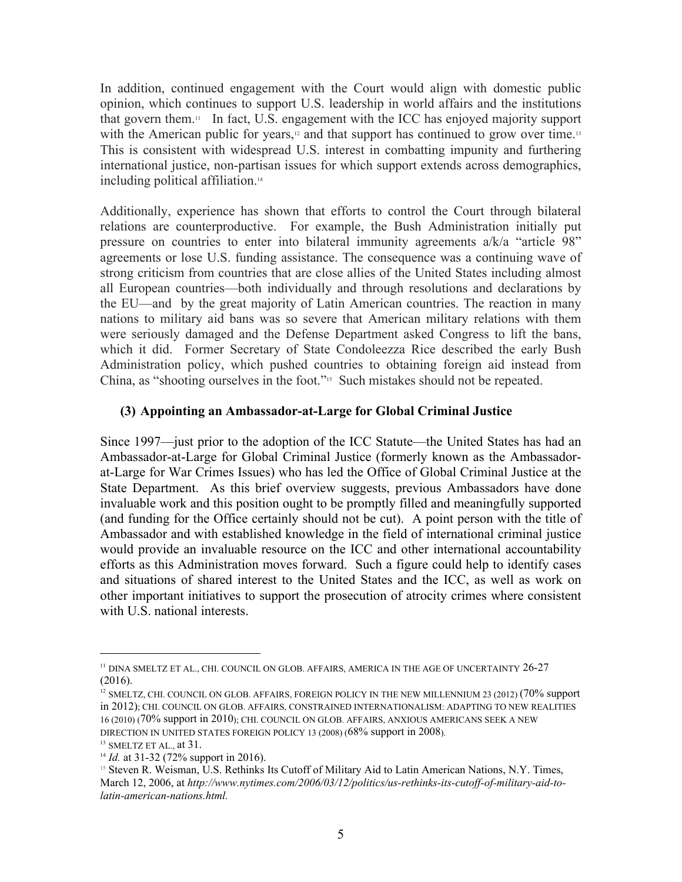In addition, continued engagement with the Court would align with domestic public opinion, which continues to support U.S. leadership in world affairs and the institutions that govern them.<sup>11</sup> In fact, U.S. engagement with the ICC has enjoyed majority support with the American public for years,<sup>12</sup> and that support has continued to grow over time.<sup>13</sup> This is consistent with widespread U.S. interest in combatting impunity and furthering international justice, non-partisan issues for which support extends across demographics, including political affiliation.<sup>14</sup><br>Additionally, experience has shown that efforts to control the Court through bilateral

relations are counterproductive. For example, the Bush Administration initially put pressure on countries to enter into bilateral immunity agreements a/k/a "article 98" agreements or lose U.S. funding assistance. The consequence was a continuing wave of strong criticism from countries that are close allies of the United States including almost all European countries—both individually and through resolutions and declarations by the EU—and by the great majority of Latin American countries. The reaction in many nations to military aid bans was so severe that American military relations with them were seriously damaged and the Defense Department asked Congress to lift the bans, which it did. Former Secretary of State Condoleezza Rice described the early Bush Administration policy, which pushed countries to obtaining foreign aid instead from China, as "shooting ourselves in the foot."15 Such mistakes should not be repeated.

### **(3) Appointing an Ambassador-at-Large for Global Criminal Justice**

Since 1997—just prior to the adoption of the ICC Statute—the United States has had an Ambassador-at-Large for Global Criminal Justice (formerly known as the Ambassadorat-Large for War Crimes Issues) who has led the Office of Global Criminal Justice at the State Department. As this brief overview suggests, previous Ambassadors have done invaluable work and this position ought to be promptly filled and meaningfully supported (and funding for the Office certainly should not be cut). A point person with the title of Ambassador and with established knowledge in the field of international criminal justice would provide an invaluable resource on the ICC and other international accountability efforts as this Administration moves forward. Such a figure could help to identify cases and situations of shared interest to the United States and the ICC, as well as work on other important initiatives to support the prosecution of atrocity crimes where consistent with U.S. national interests.

<sup>&</sup>lt;sup>11</sup> DINA SMELTZ ET AL., CHI. COUNCIL ON GLOB. AFFAIRS, AMERICA IN THE AGE OF UNCERTAINTY 26-27 (2016).

<sup>&</sup>lt;sup>12</sup> SMELTZ, CHI. COUNCIL ON GLOB. AFFAIRS, FOREIGN POLICY IN THE NEW MILLENNIUM 23 (2012) (70% support in 2012); CHI. COUNCIL ON GLOB. AFFAIRS, CONSTRAINED INTERNATIONALISM: ADAPTING TO NEW REALITIES 16 (2010) (70% support in 2010); CHI. COUNCIL ON GLOB. AFFAIRS, ANXIOUS AMERICANS SEEK A NEW DIRECTION IN UNITED STATES FOREIGN POLICY 13 (2008) (68% support in 2008).

 $^{13}$  SMELTZ ET AL., at 31.

<sup>&</sup>lt;sup>14</sup> *Id.* at 31-32 (72% support in 2016).

<sup>&</sup>lt;sup>15</sup> Steven R. Weisman, U.S. Rethinks Its Cutoff of Military Aid to Latin American Nations, N.Y. Times, March 12, 2006, at *http://www.nytimes.com/2006/03/12/politics/us-rethinks-its-cutoff-of-military-aid-tolatin-american-nations.html.*